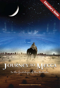# OURNEY TO MECCA In the footsteps of Ibn Battuta

NAW REAR AND

Educations Guide

www.journeytomeccagiantscreen.com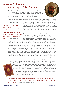### Journey to Mecca: In the footsteps of Ibn Battuta

Ibn Battuta is considered one of the world's greatest travelers. During the 14th century, he traveled an estimated 75,000 miles across most of the Eastern Hemisphere, three times farther than Marco Polo, in search of knowledge and for the love of travel. In today's world, this encompasses over 40 countries. To share the learning and research so highly valued by Islamic culture, the Sultan of Morocco, Abu Inan Faris, wanted Ibn Battuta's worldwide travels recorded and published when he returned home to Morocco after almost 30 years. Ibn Juzayy, a Moroccan Court Secretary, was appointed to write down Ibn Battuta's reminiscences. His travel journal, *The Rihla* (formally titled *A Gift to the Observers Concerning the Curiosities of the Cities and the Marvels* 

I set out alone, having neither fellow-traveler in whose companionship I might find cheer, nor Caravan whose party I might join, but swayed by an overmastering impulse within me and a desire long-cherished in my bosom. —Ibn Battuta, 1355 C.E. *Encountered in Travels*), documents this enormous achievement and is the inspiration for the film. Ibn Battuta's journey gives us a first-hand account of life in the 14th-century Muslim world, while offering a glimpse of the world through the perspective of an educated "cosmopolitan." The original book, handwritten in Arabic, can be viewed today at the National Library in Paris.

The early 14th century was a favorable time for a Muslim traveler. It was nearing the end of the Golden Age of Islam, one of the great explosions of scientific and cultural achievement in world history. Enormous opportunities for long-distance travel began to exist in the 13th century after the Mongols and other nomadic groups established

large, stable empires in Eurasia that facilitated travel, trade and cultural exchange. The expanding world of Islam, or *Dar al-Islam*, was an extension of these earlier political and cultural structures and made travel on this scale possible for almost the first time in world history. Caravans and sea lanes created transportation and communication networks that stretched across the Eastern Hemisphere. Afroeurasian towns and cities were regularly visited by merchants, traders, diplomats, doctors, artists, craftsmen, scholars and pilgrims carrying goods and ideas. All of this facilitated the exchange of goods and ideas on a scale not seen previously in world history. Unlike today, when your affiliation is with your country of origin, Ibn Battuta was a citizen of the Dar al-Islam. Ibn Battuta saw this world almost in its entirety. Just about everywhere he traveled, he found others who shared his culture, languages, faith or values. As an educated man with legal expertise, he enjoyed hospitality, companionship and offers of employment throughout the Islamic world. This interconnected world not only included Muslims but also Christians, Jews, Buddhists and Hindus. Indeed, Ibn Battuta was far ahead of his time; he was a true global citizen.

Journey to Mecca dramatizes the 5,000-mile journey Ibn Battuta made in 1325 and 1326 from his hometown of Tangier, Morocco, to reach Mecca, in what is now the Kingdom of Saudi Arabia, to perform

the Hajj. During this perilous and awe-inspiring 18-month pilgrimage, he encountered numerous obstacles as he was attacked by bandits, dehydrated by thirst, rescued by Bedouins and forced to retrace his route due to war along the Red Sea. Joining the legendary Damascus Caravan with thousands of pilgrims bound for Mecca, he completed the final leg of what would be his first of six journeys to Mecca. When he arrived in Mecca he was a man transformed. The film invites us to experience the Hajj as Ibn Battuta did over 700 years ago and then transitions to the Hajj as it is performed today. *Journey to Mecca* marks the first time an IMAX camera has captured an aerial view of the Hajj and been admitted to the most sacred sanctuary of Islam — the Grand Mosque in Mecca.

"The genesis of the film was to tell the remarkable story of Ibn Battuta, promote a better understanding of Islam in the West, and to present the heart of Islam to the Muslim world." The Producers of *Journey to Mecca*

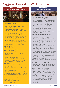### **Suggested Pre- and Post-Visit Questions**



BEFORE VIEWING

#### Background on the Film:

- The film is a dramatized representation of what is recorded in *The Rihla*, which itself is a collection of Ibn Battuta's reminiscences.
- The Highwayman is a character created to represent a variety of people Ibn Battuta would have encountered on his travels. For literary purposes, they are bundled into one person.
- The footage will sometimes shift between the modern Hajj and Ibn Battuta's Hajj; students should look for visual clues to tell the time period, and note the differences and similarities.
- **Journey to Mecca** is a Cosmic Picture/SK Films Production and is presented by the King Abdulaziz Public Library and the King Faisal Center for Research and Islamic Studies.

#### Who was Ibn Battuta?

- What did he do?
- How do we know about him?
- What is **The Rihla**?
- What do you think Ibn Battuta must have been like to have traveled so far, for so long, by himself?
- Predict and explain, in words or pictures, what you think you will see in the film.
- . Why do you think Ibn Battuta said, "I believe those braving the greatest risk receive the greatest reward"? Do you agree? Why?

#### Why Travel?

- Why are travelers important? What role do they play in society?
- How do travelers spread ideas and knowledge?
- To be a good source of information, what skills must a traveler possess?
- How did Ibn Battuta travel to Mecca in 1325?
- Where else did Ibn Battuta travel in Afroeurasia?
- Through what kinds of environments did he travel?
- . What difficulties did he face?

#### What are the Five Pillars of Islam?

- What is the Hajj?
- What happens during the Hajj?
- What other pilgrimages exist?

AFTER VIEWING Think Critically about the Film



#### Critical Thinking Probe for Students

- Now that you have seen the film, why do you think Ibn Battuta said, "I believe those braving the greatest risk receive the greatest reward"?
- Do you think he did "brave the greatest risk"? What rewards did he receive for his travels?
- Reread the predictions and explanations you made about Ibn Battuta and about his travels before viewing the film. How did the film SUPPORT, EXTEND OR CHALLENGE your ideas about Islam, the 14th century and/or a traveler such as Ibn Battuta?

#### Geography: People and Places of Travel

- What surprised you about the physical environments you saw in the film?
- What resources, scientific and other tools and types of transportation did Ibn Battuta use during his first journey to Mecca? Do we use the same items today? If not, how do we meet our needs to get from place to place?
- What do you think about caravan travel? What challenges would a traveler face today that are similar to Ibn Battuta's? What challenges would be different?
- In what ways do you think Ibn Battuta might have been shaped by the people, events, places and ideas he encountered, for example, in Egypt, Damascus, Arabia, etc.? In what ways do you think Ibn Battuta might have shaped the people and places he encountered?
- How do you think his new understandings helped him on his continued travels?

#### World Religions: Islam and the Hajj

- How did Ibn Battuta's Muslim faith influence his life? In what ways did the Five Pillars of Islam affect his travels?
- What surprised you about the Hajj?
- What is the same about the Hajj today and Ibn Battuta's Hajj? What has changed? Why do you think these changes were made? Do you think the changes alter the experience of the Hajj? Why?
- Have you or someone you know made a pilgrimage? Compare it with Ibn Battuta's.
- What are the similarities and differences between some of the fundamental beliefs of world religions such as Christianity, Judaism and Islam?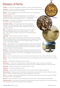### Glossary of Terms

Abraham – An important early prophet accepted by Judaism, Christianity and Islam.

**Astrolabe** – A historical navigational instrument used by explorers to determine direction by the placement of the sun, moon and planets.

**Bedouin** – An Arab belonging to any of the nomadic tribes of the Arabian, Syrian, Nubian or Sahara deserts.

**Common Era (C.E.)** – The period beginning with the year traditionally considered the birth of Jesus. Also "Current Era" or "Christian Era." This notation is preferred by non-Christians to "A.D.," or "Anno Domini."

**Dar al-Islam** – Lands governed according to the laws of Islam. Literally translated it means "the home of Islam."

**Five Pillars of Islam** – The Five Pillars consist of five ritual duties: Shahadah - the confession of faith; Salat - prayer; Sawm Ramadan the fast of the month of Ramadan; Zakat - alms-giving; and Hajj - the pilgrimage to Mecca.

Hajj – The pilgrimage to Mecca and the fifth pillar of Islam. In 628 C.E., the Prophet Muhammad set out on a journey to Mecca — the first Hajj — with 1,400 of his followers. Today, around 3 million perform the Hajj each year.

Hospitality - Friendly reception of guests or strangers.

**Islam** – The religious faith of Muslims who believe that there is but one God and that God revealed the Qu'ran to the Prophet Muhammad. The Arabic word for God is Allah. Islam began in Arabia and is the second largest religion in the world, with more than 1 billion followers.

Ka'bah – The holiest site of Islam, regarded by Muslims as the House of God built by the Prophet Abraham. It is a cube-shaped structure located within the mosque at Mecca. Pilgrims performing the Hajj circle the Ka'bah, and Muslims all over the world face toward the Ka'bah during prayer.

**Mamluks** – Captured as non-Muslim boys by Muslim rulers in various parts of the Dar al-Islam, the mamluks were brought up to be Muslim soldiers. Eventually, they seized power for themselves in some areas, including Egypt, during the time of Ibn Battuta's travels.

Mecca – A city in Saudi Arabia that is home to the Ka'bah, the holiest site in Islam and the destination of the Hajj.

Medina – The city in Saudi Arabia where Muhammad is buried. Many pilgrims visit the mosque here after completing the Hajj.

**Mosque** – A building that is dedicated to Muslim worship.

Muhammad – (c. 570–632 C.E.) Muhammad is a central human figure in Islam, revered as a prophet who communicated with God and recorded Islam's holiest book, the Qu'ran, regarded by Muslims as the word of God.

Mutawwifs - Guides for the Hajj. They are called muallims in India.

Navigation – The science of finding one's way.

**Pilgrimage** – A journey made for spiritual reasons, often to a place of special religious significance.

Primary Source - Primary sources are documents or objects that have survived from the time under study, such as letters or articles of clothing, which give an insider's perspective on the period.

Rihla – A "travelogue" that combines geographical and social information about one's journey or journeys to Mecca. Ibn Battuta's rihla is 1,000 pages long.

**Samoom** – A desert sandstorm in which strong winds carry sand and dust clouds, greatly reducing visibility.

Secondary Source – Secondary sources interpret and analyze primary sources; they are one or more steps removed from the event. Examples include textbooks and encyclopedias.

Astrolabe

Pilgrimage

Ka'bah

Samoom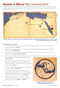## 'Journey to Mecca' Map Learning Game

Students will use clues to identify places from Ibn Battuta's first Hajj, answering in the form of a question. Using the re-created al-Idrisi map and a modern map of North Africa and the Middle East, have students find the places from Ibn Battuta's Hajj on the map.



Artistic rendering of a section of the 1154 world map by Arabic cartographer Muhammad al-Idrisi (not to scale), noting route of Ibn Battuta's first journey to Mecca.

#### Guiding Questions for Students:

- 1. Ibn Battuta leaves this city, which is his seaside birthplace and is situated on the western boundary of the known world. (Where is Tangier?)
- 2. Ibn Battuta has to single-handedly cross this stark and beautiful Moroccan mountain range on horseback. (Where are the Atlas Mountains?)
- 3. With the help of a trusted guide, the Highwayman, Ibn Battuta crosses this, the most difficult terrain in the world. (Where is The Great [Saharan] Desert?)
- 4. After many months in the desert, Ibn Battuta luxuriates in a sailing voyage down this body of water, amazed at the rich trading and cultural life of the people. (Where is The Nile [River]?)
- 5. He explores the hospitals, universities and mosques of this city, the largest in the West – noting that rich and poor are treated alike. He refers to it as the "Mother of all cities." (Where is Cairo?)
- 6. He visits this body of water, hoping to set sail for the port of Jeddah. (Where is The Red Sea?)
- 7. Ibn Battuta describes this city, the "Paradise of the Orient," as the most beautiful city in the world, lush and with splendid markets (souks). Also, the starting point of the Great Caravan to Mecca. (Where is **Damascus**?)
- 8. Ibn Battuta is determined to reach these venerable sanctuaries that attract pilgrims from all corners of the Islamic world. (Where are Medina and Mecca?)



Re-creation of 1154 world map by Arabic cartographer Muhammad al-Idrisi.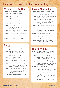### **Timeline:** The World in the 14th Century

### Middle East & Africa

| 1304 Ibn Battuta is born in Tangier.                                                                     |
|----------------------------------------------------------------------------------------------------------|
| <b>1324</b> Emperor of Mali, Mansa Musa, goes on<br>a 3,500-mile pilgrimage to Mecca.                    |
| <b>1325</b> Ibn Battuta begins his pilgrimage<br>to Mecca.                                               |
| <b>1327</b> Ibn Battuta travels through Persia.                                                          |
| <b>1331</b> Ibn Battuta travels Africa's east coast.                                                     |
| 1333 Ibn Battuta visits Anatolia.                                                                        |
| c. 1350 Swahili kingdoms of eastern Africa rise<br>to prominence as major trade and<br>cultural centers. |
| <b>1350</b> Ibn Battuta travels to Al-Andalus (Spain)<br>and through Morocco.                            |

1351-3 Ibn Battuta travels through the Sahara Desert and moves on to Mali.

#### 1368

or 1369 Ibn Battuta dies; he is believed to be buried in Tangier.

### Europe

- c. 1308 Dante Alighieri begins writing the *Divine Comedy.*
	- 1309 Beginning of the Avignon Papacy (to 1377) during which the central government of the Roman Catholic Church was located in France.
	- 1324 The Venetian world traveler Marco Polo dies.
	- 1334 The Alhambra palace is completed in Granada, Spain.
	- 1337 Edward III, believing himself rightful ruler of France, declares himself King of France, setting off the Hundred Years' War.
	- 1378 The Great Schism begins. Rival popes in Rome and Avignon, France, fight for control of Roman Catholic Church until 1417.
	- 1382 John Wycliffe translates the Bible into vernacular English.

### Asia & South Asia

- 1299 Osman I establishes Ottoman dynasty; the empire spreads across Asia, northern Africa and eastern Europe.
- 1320 Tughluq dynasty founded by Ghiyas al-Din Tughluq in Delhi, India.
- 1330s The Black Death (bubonic plague) originates in Asia, spreading along trade routes through Asia, Europe and North Africa. Millions die worldwide.
- 1334 Ibn Battuta is appointed qadi, or judge, of Delhi by Sultan Muhammad Tughluq.
- 1336 Hindu rebellion against Muslim rule in India leads Harihara I to found Hindu kingdom Vijayanagar.
- c. 1340 Rebellions in Yuan, China, result in foundation of Ming Dynasty in 1368.
- 1345-46 Ibn Buttata visits Southeast Asia and China.
	- 1398 Timur-i Lang (Tamerlane), a Muslim conqueror of Mongol descent, invades India and pillages Delhi.

### The Americas

- c. 1300 After 1,500 years, the Anasazi abandon their cliff dwellings at Mesa Verde (in modern Arizona).
- c. 1315 Beginning of the Great Famine period across the Northern Hemisphere. A significant cooling called the Little Ice Age causes widespread crop failures.
- c. 1325 Mexica tribes establish Tenochtitlán on Lake Texcoco in what is now Mexico. The Mexica are also known as the Aztec.
- c. 1350 Cahokia, the largest city of the Mississippian culture in North America, is abandoned for unknown reasons. Most Native American societies exist as seminomadic, limited agrarian communities.
- c. 1400 The Kingdom of Chimor is the dominant political, cultural and economic power in what is now the Peruvian highlands and will be absorbed by the Inca after 1450. Chan Chan, the capital city, covers 24 square miles.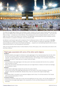# The Hajj and Other World Religious Pilgrimages

The Hajj is the pilgrimage to Mecca, the birthplace of Islam, located on the west coast of Saudi Arabia near the Red Sea. It is the religious duty of all adults who are financially and physically able to perform the Hajj — one of the Five Pillars of Islam — at least once in their lifetimes. This weeklong event occurs during the Muslim month of Dhu al-Hijjah, the 12th month of the Islamic lunar calendar. The pilgrimage commemorates the trials of Abraham and his family. Abraham is a prophet to Christians, Jews and Muslims alike.

Ibn Battuta's world travels begin with his departure from his Moroccan home in 1325. As he recalls in *The Rihla,* "My departure from Tangier, my birthplace, took place … with the intention of making the pilgrimage to the Holy House (at Mecca) and the Tomb of the Prophet (at Medina) … swayed by an overmastering impulse within me and a long cherished desire to visit these glorious sanctuaries."

Today, the annual Hajj attracts about 3 million Muslims of every ethnic group, color, social status and culture to the holy sites at Mecca.

#### Pilgrimages associated with some of the other world religions Buddhism

• Gautama Buddha encouraged his followers to make pilgrimages to four important places from his life: where he was born (Lumbini), where he became Enlightened (Bodh Gaya), where he delivered his first teaching (Sarnath, formerly Isipathana), and where he died (Kusinara, now Kusinagar), thus completely released from suffering and rebirth. These sites are in modern India and Nepal.

#### **Christianity**

- Some Christians make pilgrimages to the Holy Land to visit sites connected with the birth, life, crucifixion and resurrection of Jesus.
- Others may visit shrines associated with saints such as Croagh Patrick in Ireland or El Camino de Santiago de Compostela in Spain.

#### Hinduism

- Hindus believe pilgrimages release the soul from the cycle of rebirth.
- There are four primary holy pilgrimage destinations for the Hindus in the Indian Himalayas: Yamunotri, Gangotri, Kedarnath and Badrinath. Besides these, there are several other regional pilgrimages.

#### Judaism

• The Western Wall in Jerusalem is an important religious site for Jews. It is all that remains of The Temple after its second destruction in 70 C.E.

#### In Secular Contexts

- Americans sometimes make trips to sites that hold significance for their culture, like Civil War battlegrounds.
- Communists encouraged pilgrimages to the mausoleums of Lenin and Mao Zedong and the birthplace of Karl Marx.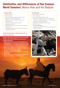### Similarities and Differences of Two Famous World Travelers: Marco Polo and Ibn Battuta

### Marco Polo

- $\bullet$  1254-1324 C.F.
- Born in Venice
- From moderately wealthy merchant family
- Father and uncle were travelers
- Traveled to trade; estimated distance of 25,000 miles
- Claimed to have worked for foreign government (China)
- **Published** *II Milione* (*The Million or The Travels of Marco Polo*)
- Travelogue written with aid of a court secretary, Rustichello da Pisa

### Guiding Questions: Travel Accounts as Primary Sources

Examine and analyze text from the travel accounts of Marco Polo and Ibn Battuta and answer the following questions:

- Who do you think were the intended audiences for these travelogues? What kinds of information would be included in order to fulfill this audience's needs?
- Can these accounts be trusted? Why would they have reason to stretch the truth? What evidence do you find where Ibn Battuta or Marco Polo stick to the facts or where opinions seep in?
- If less than accurate, does that minimize the value for historians?
- What criteria or guidelines would you establish to assess the reliability of primary sources?

### Ibn Battuta

- 1304-1368 or 1369 C.E.
- Born in Tangier
- A law student and Islamic scholar
- Traveled for religious reasons, to learn and for enjoyment; estimated distance of 75,000 miles, much farther than Marco Polo
- Worked for foreign government (India)
- Visited China
- Published **The Rihla**
- Travelogue written with aid of court secretary and scholar, Ibn Juzayy

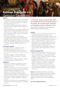

#### **HISTORY**

- The student understands the cultures and historical developments of selected societies in such places as Africa, the Americas, Asia and Europe. (National Standards in History, K-4, 7A)
- The student understands great world movements of people now and long ago. (National Standards in History, K-4, 7B)
- The student understands how pastoral migrations and religious reform movements between the 11th and 13th centuries contributed to the rise of new states and the expansion of Islam. (National Standards in History, 5-12, Era 5, 1C)
- $\bullet$  The student understands how interregional communication and trade led to intensified cultural exchanges among diverse peoples of Eurasia and Africa. (National Standards in History, 5-12, Era 5, 1D)
- The student understands major global trends from 1000 to 1500 C.E. (National Standards in History, 5-12, Era 5, 7A)

#### HISTORICAL THINKING

- The student thinks chronologically. (National Standards for Historical Thinking, K-12, 1)
- The student comprehends a variety of historical sources. (National Standards for Historical Thinking, K-12, 2)
- The student engages in historical analysis and interpretation. (National Standards for Historical Thinking, K-12, 3)
- The student conducts historical research. (National Standards for Historical Thinking, K-12, 4)

#### **GEOGRAPHY**

- Students will understand the physical and human characteristics of places. (National Standards in Geography, K-12, 4)
- Students will understand how culture and experience influence people's perception of places and regions. (National Standards in Geography, K-12, 6)
- Students will understand the characteristics, distributions and complexity of Earth's cultural mosaics. (National Standards in Geography, K-12, 10)
- Students will understand how physical systems affect human systems. (National Standards in Geography, K-12, 15)
- Students will understand how to apply geography to interpret the past. (National Standards in Geography, K-12, 17)

"In the Unites States, virtually all high school and college world history text books introduce Ibn Battuta, who has been rightly celebrated as the greatest traveler of premodern times."

Ross E. Dunn. *The Adventures of Ibn Battuta: A Muslim Traveler of the 14th Century.*

#### **SCIENCE**

- Students develop an understanding of objects in the sky. (National Standards in Science, K-4, 4)
- Students develop an understanding of changes in the Earth and sky. (National Standards in Science, K-4, 4)
- Students develop an understanding of the history of science. (National Standards in Science, 5-12, 7)
- Students develop an understanding of science and technology in local, national and global challenges. (National Standards in Science, 9-12, 6)
- Students develop an understanding of science as a human endeavor. (National Standards in Science, K-12, 7)

#### ENGLISH LANGUAGE ARTS

- Students read a wide range of literature from many periods in many genres to build an understanding of the many dimensions (e.g., philosophical, ethical, aesthetic) of human experience. (National Standards in English Language Arts, K-12, 2)
- Students conduct research on issues and interests by generating ideas and questions, and by posing problems. They gather, evaluate and synthesize data from a variety of sources (e.g., print and nonprint texts, artifacts, people) to communicate their discoveries in ways that suit their purpose and audience. (National Standards in English Language Arts, K-12, 7)

**Sources:** National Center for History in the Schools; National Council for Geographic Education; International Reading Association; National Council of Teachers of English; National Committee on Science Education Standards and Assessment of the National Research Council.

#### (For USA, Kindergarten-Grade 12)